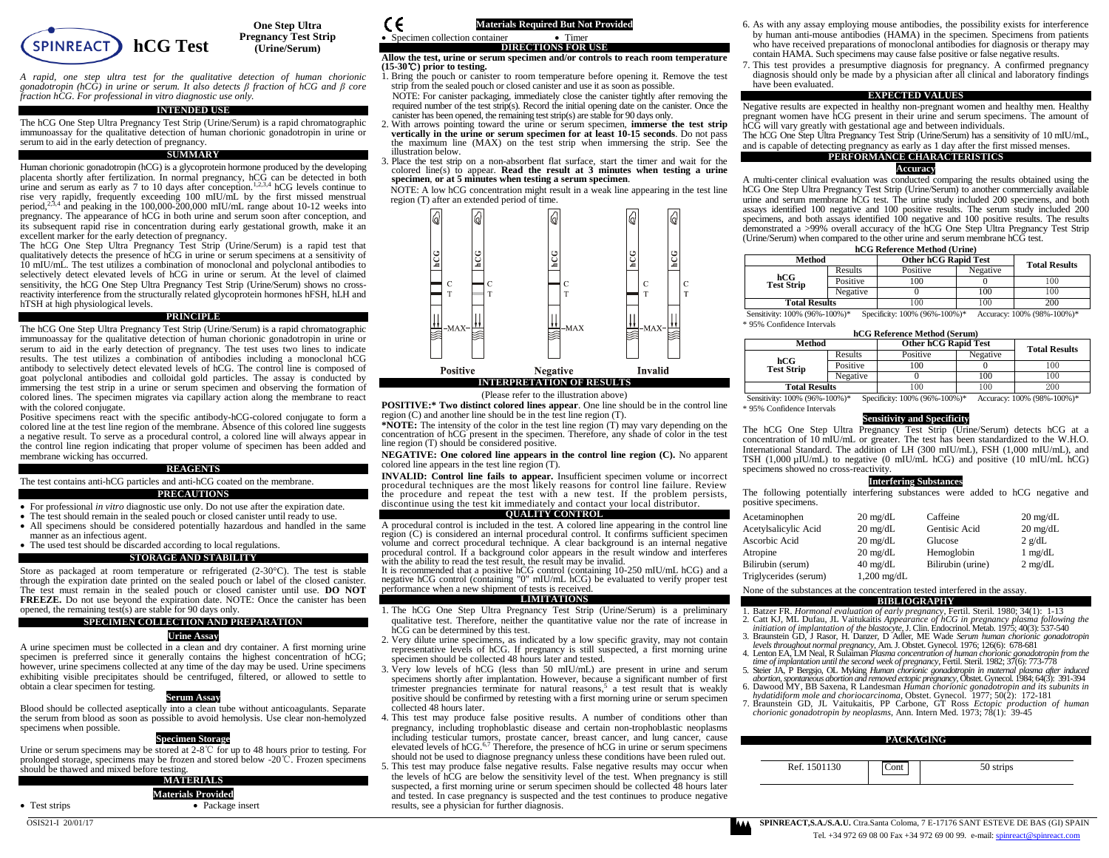

**One Step Ultra Pregnancy Test Strip (Urine/Serum)**

*A rapid, one step ultra test for the qualitative detection of human chorionic gonadotropin (hCG) in urine or serum. It also detects β fraction of hCG and β core fraction hCG. For professional in vitro diagnostic use only.*

## **INTENDED USE**

The hCG One Step Ultra Pregnancy Test Strip (Urine/Serum) is a rapid chromatographic immunoassay for the qualitative detection of human chorionic gonadotropin in urine or serum to aid in the early detection of pregnancy.

## **SUMMARY**

Human chorionic gonadotropin (hCG) is a glycoprotein hormone produced by the developing placenta shortly after fertilization. In normal pregnancy, hCG can be detected in both urine and serum as early as  $7$  to 10 days after conception.<sup>1,2,3,4</sup> hCG levels continue to rise very rapidly, frequently exceeding 100 mIU/mL by the first missed menstrual period,2,3,4 and peaking in the 100,000-200,000 mIU/mL range about 10-12 weeks into pregnancy. The appearance of hCG in both urine and serum soon after conception, and its subsequent rapid rise in concentration during early gestational growth, make it an excellent marker for the early detection of pregnancy.

The hCG One Step Ultra Pregnancy Test Strip (Urine/Serum) is a rapid test that qualitatively detects the presence of hCG in urine or serum specimens at a sensitivity of 10 mIU/mL. The test utilizes a combination of monoclonal and polyclonal antibodies to selectively detect elevated levels of hCG in urine or serum. At the level of claimed sensitivity, the hCG One Step Ultra Pregnancy Test Strip (Urine/Serum) shows no crossreactivity interference from the structurally related glycoprotein hormones hFSH, hLH and hTSH at high physiological levels.

#### **PRINCIPLE**

The hCG One Step Ultra Pregnancy Test Strip (Urine/Serum) is a rapid chromatographic immunoassay for the qualitative detection of human chorionic gonadotropin in urine or serum to aid in the early detection of pregnancy. The test uses two lines to indicate results. The test utilizes a combination of antibodies including a monoclonal hCG antibody to selectively detect elevated levels of hCG. The control line is composed of goat polyclonal antibodies and colloidal gold particles. The assay is conducted by immersing the test strip in a urine or serum specimen and observing the formation of colored lines. The specimen migrates via capillary action along the membrane to react with the colored conjugate.

Positive specimens react with the specific antibody-hCG-colored conjugate to form a colored line at the test line region of the membrane. Absence of this colored line suggests a negative result. To serve as a procedural control, a colored line will always appear in the control line region indicating that proper volume of specimen has been added and membrane wicking has occurred.

# **REAGENTS**

The test contains anti-hCG particles and anti-hCG coated on the membrane. **PRECAUTIONS**

- For professional *in vitro* diagnostic use only. Do not use after the expiration date.
- The test should remain in the sealed pouch or closed canister until ready to use.
- All specimens should be considered potentially hazardous and handled in the same manner as an infectious agent.
- The used test should be discarded according to local regulations.

### **STORAGE AND STABILITY**

Store as packaged at room temperature or refrigerated (2-30°C). The test is stable through the expiration date printed on the sealed pouch or label of the closed canister. The test must remain in the sealed pouch or closed canister until use. **DO NOT FREEZE.** Do not use beyond the expiration date. NOTE: Once the canister has been opened, the remaining test(s) are stable for 90 days only.

#### **SPECIMEN COLLECTION AND PREPARATION**

### **Urine Assay**

A urine specimen must be collected in a clean and dry container. A first morning urine specimen is preferred since it generally contains the highest concentration of hCG; however, urine specimens collected at any time of the day may be used. Urine specimens exhibiting visible precipitates should be centrifuged, filtered, or allowed to settle to obtain a clear specimen for testing.

### **Serum Assay**

Blood should be collected aseptically into a clean tube without anticoagulants. Separate the serum from blood as soon as possible to avoid hemolysis. Use clear non-hemolyzed specimens when possible.

# **Specimen Storage**

Urine or serum specimens may be stored at 2-8℃ for up to 48 hours prior to testing. For prolonged storage, specimens may be frozen and stored below -20℃. Frozen specimens should be thawed and mixed before testing.

| <b>MATERIALS</b>          |
|---------------------------|
| <b>Materials Provided</b> |
|                           |

Test strips Package insert

#### C€ **Materials Required But Not Provided** • Specimen collection container • Timer **DIRECTIONS FOR USE**

#### **Allow the test, urine or serum specimen and/or controls to reach room temperature (15-30**℃**) prior to testing.**

1. Bring the pouch or canister to room temperature before opening it. Remove the test strip from the sealed pouch or closed canister and use it as soon as possible.

NOTE: For canister packaging, immediately close the canister tightly after removing the required number of the test strip(s). Record the initial opening date on the canister. Once the canister has been opened, the remaining test strip(s) are stable for 90 days only.

- 2. With arrows pointing toward the urine or serum specimen, **immerse the test strip vertically in the urine or serum specimen for at least 10-15 seconds**. Do not pass the maximum line (MAX) on the test strip when immersing the strip. See the illustration below.
- 3. Place the test strip on a non-absorbent flat surface, start the timer and wait for the colored line(s) to appear. **Read the result at 3 minutes when testing a urine specimen**, **or at 5 minutes when testing a serum specimen**.

NOTE: A low hCG concentration might result in a weak line appearing in the test line region (T) after an extended period of time.



(Please refer to the illustration above)

**POSITIVE:\* Two distinct colored lines appear**. One line should be in the control line region (C) and another line should be in the test line region (T).

**\*NOTE:** The intensity of the color in the test line region (T) may vary depending on the concentration of hCG present in the specimen. Therefore, any shade of color in the test line region (T) should be considered positive.

**NEGATIVE: One colored line appears in the control line region (C).** No apparent colored line appears in the test line region (T).

**INVALID: Control line fails to appear.** Insufficient specimen volume or incorrect procedural techniques are the most likely reasons for control line failure. Review the procedure and repeat the test with a new test. If the problem persists, discontinue using the test kit immediately and contact your local distributor.

#### **QUALITY CONTROL**

A procedural control is included in the test. A colored line appearing in the control line region (C) is considered an internal procedural control. It confirms sufficient specimen volume and correct procedural technique. A clear background is an internal negative procedural control. If a background color appears in the result window and interferes with the ability to read the test result, the result may be invalid.

It is recommended that a positive hCG control (containing 10-250 mIU/mL hCG) and a negative hCG control (containing "0" mIU/mL hCG) be evaluated to verify proper test performance when a new shipment of tests is received.

#### **LIMITATIONS**

- 1. The hCG One Step Ultra Pregnancy Test Strip (Urine/Serum) is a preliminary qualitative test. Therefore, neither the quantitative value nor the rate of increase in hCG can be determined by this test.
- 2. Very dilute urine specimens, as indicated by a low specific gravity, may not contain representative levels of hCG. If pregnancy is still suspected, a first morning urine specimen should be collected 48 hours later and tested.
- 3. Very low levels of hCG (less than 50 mIU/mL) are present in urine and serum specimens shortly after implantation. However, because a significant number of first trimester pregnancies terminate for natural reasons,<sup>5</sup> a test result that is weakly positive should be confirmed by retesting with a first morning urine or serum specimen collected 48 hours later.
- 4. This test may produce false positive results. A number of conditions other than pregnancy, including trophoblastic disease and certain non-trophoblastic neoplasms including testicular tumors, prostate cancer, breast cancer, and lung cancer, cause elevated levels of hCG.<sup>6,7</sup> Therefore, the presence of hCG in urine or serum specimens should not be used to diagnose pregnancy unless these conditions have been ruled out.
- 5. This test may produce false negative results. False negative results may occur when the levels of hCG are below the sensitivity level of the test. When pregnancy is still suspected, a first morning urine or serum specimen should be collected 48 hours later and tested. In case pregnancy is suspected and the test continues to produce negative results, see a physician for further diagnosis.
- 6. As with any assay employing mouse antibodies, the possibility exists for interference by human anti-mouse antibodies (HAMA) in the specimen. Specimens from patients who have received preparations of monoclonal antibodies for diagnosis or therapy may contain HAMA. Such specimens may cause false positive or false negative results.
- 7. This test provides a presumptive diagnosis for pregnancy. A confirmed pregnancy diagnosis should only be made by a physician after all clinical and laboratory findings have been evaluated.

### **EXPECTED VALUES**

Negative results are expected in healthy non-pregnant women and healthy men. Healthy pregnant women have hCG present in their urine and serum specimens. The amount of hCG will vary greatly with gestational age and between individuals.

The hCG One Step Ultra Pregnancy Test Strip (Urine/Serum) has a sensitivity of 10 mIU/mL, and is capable of detecting pregnancy as early as 1 day after the first missed menses.

# **PERFORMANCE CHARACTERISTICS**

#### **Accuracy**

A multi-center clinical evaluation was conducted comparing the results obtained using the hCG One Step Ultra Pregnancy Test Strip (Urine/Serum) to another commercially available urine and serum membrane hCG test. The urine study included 200 specimens, and both assays identified 100 negative and 100 positive results. The serum study included 200 specimens, and both assays identified 100 negative and 100 positive results. The results demonstrated a >99% overall accuracy of the hCG One Step Ultra Pregnancy Test Strip (Urine/Serum) when compared to the other urine and serum membrane hCG test.

## **hCG Reference Method (Urine)**

| Method                   |          | <b>Other hCG Rapid Test</b> |          | <b>Total Results</b> |
|--------------------------|----------|-----------------------------|----------|----------------------|
|                          | Results  | Positive                    | Negative |                      |
| hCG<br><b>Test Strip</b> | Positive | 100                         |          | 100                  |
|                          | Negative |                             | 100      | 100                  |
| <b>Total Results</b>     |          | 00                          | 100      | 200                  |

Sensitivity: 100% (96%-100%)\* Specificity: 100% (96%-100%)\* Accuracy: 100% (98%-100%)\* \* 95% Confidence Intervals

|          | hCG Reference Method (Serum) |
|----------|------------------------------|
| الممطاءة | Other <b>LCC</b> Denid Test  |

| Method                   |          | <b>Other hCG Rapid Test</b> |          | <b>Total Results</b> |  |
|--------------------------|----------|-----------------------------|----------|----------------------|--|
|                          | Results  | Positive                    | Negative |                      |  |
| hCG<br><b>Test Strip</b> | Positive | 100                         |          | 100                  |  |
|                          | Negative |                             | 100      | 100                  |  |
| <b>Total Results</b>     |          | 100                         | 100      | 200                  |  |

Sensitivity: 100% (96%-100%)\* Specificity: 100% (96%-100%)\* Accuracy: 100% (98%-100%)\* \* 95% Confidence Intervals

#### **Sensitivity and Specificity**

The hCG One Step Ultra Pregnancy Test Strip (Urine/Serum) detects hCG at a concentration of 10 mIU/mL or greater. The test has been standardized to the W.H.O. International Standard. The addition of LH (300 mIU/mL), FSH (1,000 mIU/mL), and TSH (1,000 µIU/mL) to negative (0 mIU/mL hCG) and positive (10 mIU/mL hCG) specimens showed no cross-reactivity.

## **Interfering Substances**

The following potentially interfering substances were added to hCG negative and positive specimens.

| Acetaminophen         | $20 \text{ mg/dL}$    | Caffeine          | $20 \text{ mg/dL}$ |
|-----------------------|-----------------------|-------------------|--------------------|
| Acetylsalicylic Acid  | $20 \text{ mg/dL}$    | Gentisic Acid     | $20 \text{ mg/dL}$ |
| Ascorbic Acid         | $20 \text{ mg/dL}$    | Glucose           | $2$ g/dL           |
| Atropine              | $20 \text{ mg/dL}$    | Hemoglobin        | $1 \text{ mg/dL}$  |
| Bilirubin (serum)     | $40 \text{ mg/dL}$    | Bilirubin (urine) | $2 \text{ mg/dL}$  |
| Triglycerides (serum) | $1,200 \text{ mg/dL}$ |                   |                    |

## None of the substances at the concentration tested interfered in the assay.

**BIBLIOGRAPHY**

- 1. Batzer FR. *Hormonal evaluation of early pregnancy*, Fertil. Steril*.* 1980; 34(1): 1-13
- 2. Catt KJ, ML Dufau, JL Vaitukaitis *Appearance of hCG in pregnancy plasma following the initiation of implantation of the blastocyte*, J. Clin. Endocrinol. Metab*.* 1975; 40(3): 537-540
- 3. Braunstein GD, J Rasor, H. Danzer, D Adler, ME Wade *Serum human chorionic gonadotropin levels throughout normal pregnancy*, Am. J. Obstet. Gynecol*.* 1976; 126(6): 678-681
- 4. Lenton EA, LM Neal, R Sulaiman *Plasma concentration of human chorionic gonadotropin from the*
- *time of implantation until the second week of pregnancy*, Fertil. Steril*.* 1982; 37(6): 773-778 5. Steier JA, P Bergsjo, OL Myking *Human chorionic gonadotropin in maternal plasma after induced*
- *abortion, spontaneous abortion and removed ectopic pregnancy*, Obstet. Gynecol*.* 1984; 64(3): 391-394 6. Dawood MY, BB Saxena, R Landesman *Human chorionic gonadotropin and its subunits in*
- *hydatidiform mole and choriocarcinoma*, Obstet. Gynecol*.* 1977; 50(2): 172-181 7. Braunstein GD, JL Vaitukaitis*,* PP Carbone, GT Ross *Ectopic production of human chorionic gonadotropin by neoplasms*, Ann. Intern Med*.* 1973; 78(1): 39-45

| <b>PACKAGING</b>      |           |  |  |  |
|-----------------------|-----------|--|--|--|
| Ref. 1501130<br>.`ont | 50 strips |  |  |  |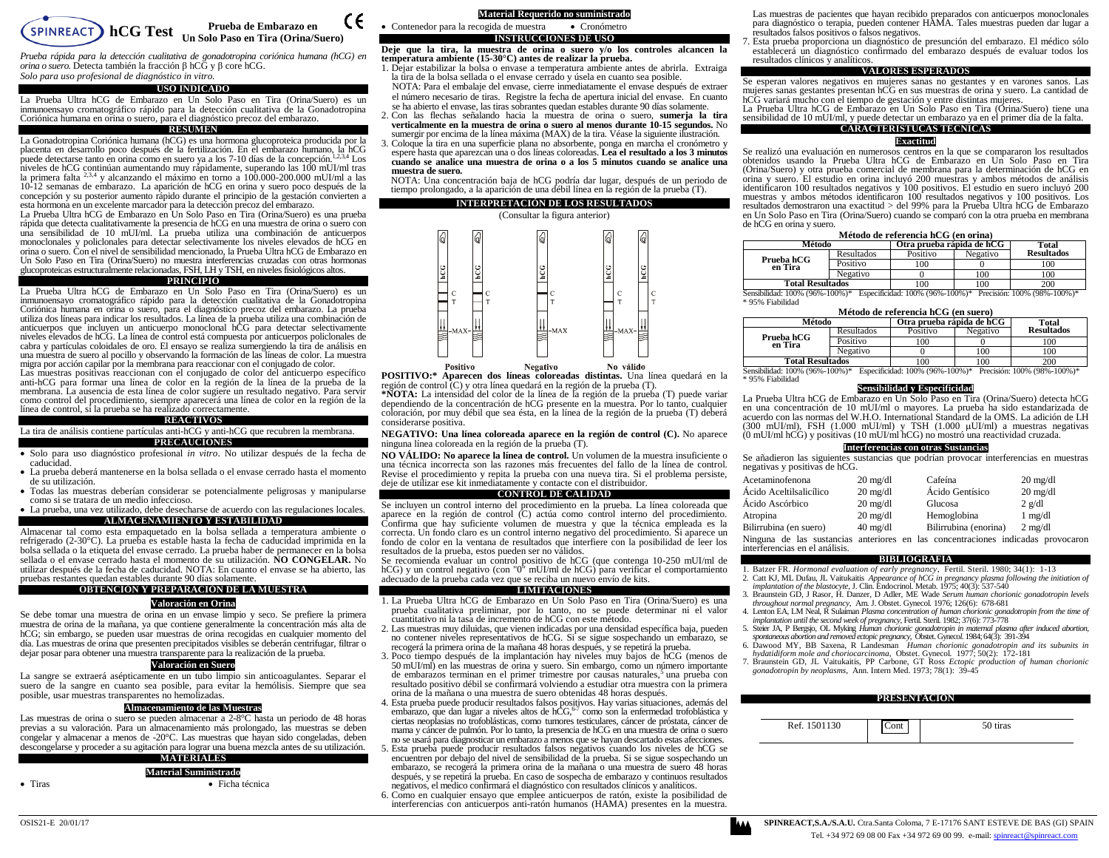

*Prueba rápida para la detección cualitativa de gonadotropina coriónica humana (hCG) en orina o suero.* Detecta también la fracción β hCG y β core hCG. *Solo para uso profesional de diagnóstico in vitro.*

#### **USO INDICADO**

La Prueba Ultra hCG de Embarazo en Un Solo Paso en Tira (Orina/Suero) es un inmunoensayo cromatográfico rápido para la detección cualitativa de la Gonadotropina Coriónica humana en orina o suero, para el diagnóstico precoz del embarazo.

## **RESUMEN**

La Gonadotropina Coriónica humana (hCG) es una hormona glucoproteica producida por la placenta en desarrollo poco después de la fertilización. En el embarazo humano, la hCG<br>puede detectarse tanto en orina como en suero ya a los 7-10 días de la concepción.<sup>1,2,3,4</sup> Los niveles de hCG continúan aumentando muy rápidamente, superando las 100 mUI/ml tras la primera falta 2,3,4 y alcanzando el máximo en torno a 100.000-200.000 mUI/ml a las 10-12 semanas de embarazo. La aparición de hCG en orina y suero poco después de la concepción y su posterior aumento rápido durante el principio de la gestación convierten a esta hormona en un excelente marcador para la detección precoz del embarazo.

La Prueba Ultra hCG de Embarazo en Un Solo Paso en Tira (Orina/Suero) es una prueba rápida que detecta cualitativamente la presencia de hCG en una muestra de orina o suero con una sensibilidad de 10 mUI/ml. La prueba utiliza una combinación de anticuerpos monoclonales y policlonales para detectar selectivamente los niveles elevados de hCG en orina o suero. Con el nivel de sensibilidad mencionado, la Prueba Ultra hCG de Embarazo en Un Solo Paso en Tira (Orina/Suero) no muestra interferencias cruzadas con otras hormonas glucoproteicas estructuralmente relacionadas, FSH, LH y TSH, en niveles fisiológicos altos.

# **PRINCIPIO**

La Prueba Ultra hCG de Embarazo en Un Solo Paso en Tira (Orina/Suero) es un inmunoensayo cromatográfico rápido para la detección cualitativa de la Gonadotropina Coriónica humana en orina o suero, para el diagnóstico precoz del embarazo. La prueba utiliza dos líneas para indicar los resultados. La línea de la prueba utiliza una combinación de anticuerpos que incluyen un anticuerpo monoclonal hCG para detectar selectivamente niveles elevados de hCG. La línea de control está compuesta por anticuerpos policlonales de cabra y partículas coloidales de oro. El ensayo se realiza sumergiendo la tira de análisis en una muestra de suero al pocillo y observando la formación de las líneas de color. La muestra migra por acción capilar por la membrana para reaccionar con el conjugado de color.

Las muestras positivas reaccionan con el conjugado de color del anticuerpo específico anti-hCG para formar una línea de color en la región de la línea de la prueba de la membrana. La ausencia de esta línea de color sugiere un resultado negativo. Para servir como control del procedimiento, siempre aparecerá una línea de color en la región de la línea de control, si la prueba se ha realizado correctamente.

## **REACTIVOS**

#### La tira de análisis contiene partículas anti-hCG y anti-hCG que recubren la membrana. **PRECAUCIONES**

 Solo para uso diagnóstico profesional *in vitro*. No utilizar después de la fecha de caducidad.

 La prueba deberá mantenerse en la bolsa sellada o el envase cerrado hasta el momento de su utilización.

- Todas las muestras deberían considerar se potencialmente peligrosas y manipularse como si se tratara de un medio infeccioso.
- La prueba, una vez utilizado, debe desecharse de acuerdo con las regulaciones locales. **ALMACENAMIENTO Y ESTABILIDAD**

Almacenar tal como esta empaquetado en la bolsa sellada a temperatura ambiente o refrigerado (2-30°C). La prueba es estable hasta la fecha de caducidad imprimida en la bolsa sellada o la etiqueta del envase cerrado. La prueba haber de permanecer en la bolsa sellada o el envase cerrado hasta el momento de su utilización. **NO CONGELAR.** No utilizar después de la fecha de caducidad. NOTA: En cuanto el envase se ha abierto, las pruebas restantes quedan estables durante 90 días solamente.

# **OBTENCIÓN Y PREPARACIÓN DE LA MUESTRA**

# **Valoración en Orina**

Se debe tomar una muestra de orina en un envase limpio y seco. Se prefiere la primera muestra de orina de la mañana, ya que contiene generalmente la concentración más alta de hCG; sin embargo, se pueden usar muestras de orina recogidas en cualquier momento del día. Las muestras de orina que presenten precipitados visibles se deberán centrifugar, filtrar o dejar posar para obtener una muestra transparente para la realización de la prueba.

## **Valoración en Suero**

La sangre se extraerá asépticamente en un tubo limpio sin anticoagulantes. Separar el suero de la sangre en cuanto sea posible, para evitar la hemólisis. Siempre que sea posible, usar muestras transparentes no hemolizadas.

# **Almacenamiento de las Muestras**

Las muestras de orina o suero se pueden almacenar a 2-8°C hasta un periodo de 48 horas previas a su valoración. Para un almacenamiento más prolongado, las muestras se deben congelar y almacenar a menos de -20°C. Las muestras que hayan sido congeladas, deben descongelarse y proceder a su agitación para lograr una buena mezcla antes de su utilización.

## **MATERIALES**

**Material Suministrado**

Tiras Ficha técnica

**Material Requerido no suministrado** • Contenedor para la recogida de muestra • Cronómetro

**INSTRUCCIONES DE USO**<br>Deje que la tira, la muestra de orina o suero y/o los controles alcancen la **temperatura ambiente (15-30°C) antes de realizar la prueba.**

1. Dejar estabilizar la bolsa o envase a temperatura ambiente antes de abrirla. Extraiga la tira de la bolsa sellada o el envase cerrado y úsela en cuanto sea posible.

NOTA: Para el embalaje del envase, cierre inmediatamente el envase después de extraer el número necesario de tiras. Registre la fecha de apertura inicial del envase. En cuanto se ha abierto el envase, las tiras sobrantes quedan estables durante 90 días solamente. 2. Con las flechas señalando hacia la muestra de orina o suero, **sumerja la tira** 

**verticalmente en la muestra de orina o suero al menos durante 10-15 segundos.** No sumergir por encima de la línea máxima (MAX) de la tira. Véase la siguiente ilustración.

3. Coloque la tira en una superficie plana no absorbente, ponga en marcha el cronómetro y espere hasta que aparezcan una o dos líneas coloreadas. **Lea el resultado a los 3 minutos cuando se analice una muestra de orina o a los 5 minutos cuando se analice una muestra de suero.**

NOTA: Una concentración baja de hCG podría dar lugar, después de un periodo de tiempo prolongado, a la aparición de una débil línea en la región de la prueba (T).

## **INTERPRETACIÓN DE LOS RESULTADOS**



**POSITIVO:\* Aparecen dos líneas coloreadas distintas.** Una línea quedará en la región de control (C) y otra línea quedará en la región de la prueba (T).

**\*NOTA:** La intensidad del color de la línea de la región de la prueba (T) puede variar dependiendo de la concentración de hCG presente en la muestra. Por lo tanto, cualquier coloración, por muy débil que sea ésta, en la línea de la región de la prueba (T) deberá considerarse positiva.

**NEGATIVO: Una línea coloreada aparece en la región de control (C).** No aparece ninguna línea coloreada en la región de la prueba (T).

**NO VÁLIDO: No aparece la línea de control.** Un volumen de la muestra insuficiente o una técnica incorrecta son las razones más frecuentes del fallo de la línea de control. Revise el procedimiento y repita la prueba con una nueva tira. Si el problema persiste, deje de utilizar ese kit inmediatamente y contacte con el distribuidor.

#### **CONTROL DE CALIDAD**

Se incluyen un control interno del procedimiento en la prueba. La línea coloreada que aparece en la región de control (C) actúa como control interno del procedimiento. Confirma que hay suficiente volumen de muestra y que la técnica empleada es la correcta. Un fondo claro es un control interno negativo del procedimiento. Si aparece un fondo de color en la ventana de resultados que interfiere con la posibilidad de leer los resultados de la prueba, estos pueden ser no válidos.

Se recomienda evaluar un control positivo de hCG (que contenga 10-250 mUI/ml de hCG) y un control negativo (con "0" mUI/ml de hCG) para verificar el comportamiento adecuado de la prueba cada vez que se reciba un nuevo envío de kits.

#### **LIMITACIONES**

- 1. La Prueba Ultra hCG de Embarazo en Un Solo Paso en Tira (Orina/Suero) es una prueba cualitativa preliminar, por lo tanto, no se puede determinar ni el valor cuantitativo ni la tasa de incremento de hCG con este método.
- 2. Las muestras muy diluidas, que vienen indicadas por una densidad específica baja, pueden no contener niveles representativos de hCG. Si se sigue sospechando un embarazo, se recogerá la primera orina de la mañana 48 horas después, y se repetirá la prueba.

3. Poco tiempo después de la implantación hay niveles muy bajos de hCG (menos de 50 mUI/ml) en las muestras de orina y suero. Sin embargo, como un número importante de embarazos terminan en el primer trimestre por causas naturales,<sup>5</sup> una prueba con resultado positivo débil se confirmará volviendo a estudiar otra muestra con la primera orina de la mañana o una muestra de suero obtenidas 48 horas después.

4. Esta prueba puede producir resultados falsos positivos. Hay varias situaciones, además del embarazo, que dan lugar a niveles altos de  $\hbar \text{CG}, ^{67}$  como son la enfermedad trofoblástica y ciertas neoplasias no trofoblásticas, como tumores testiculares, cáncer de próstata, cáncer de mama y cáncer de pulmón. Por lo tanto, la presencia de hCG en una muestra de orina o suero no se usará para diagnosticar un embarazo a menos que se hayan descartado estas afecciones.

5. Esta prueba puede producir resultados falsos negativos cuando los niveles de hCG se encuentren por debajo del nivel de sensibilidad de la prueba. Si se sigue sospechando un embarazo, se recogerá la primera orina de la mañana o una muestra de suero 48 horas después, y se repetirá la prueba. En caso de sospecha de embarazo y continuos resultados negativos, el medico confirmará el diagnóstico con resultados clínicos y analíticos.

6. Como en cualquier ensayo que emplee anticuerpos de ratón, existe la posibilidad de interferencias con anticuerpos anti-ratón humanos (HAMA) presentes en la muestra.

Las muestras de pacientes que hayan recibido preparados con anticuerpos monoclonales para diagnóstico o terapia, pueden contener HAMA. Tales muestras pueden dar lugar a resultados falsos positivos o falsos negativos.

7. Esta prueba proporciona un diagnóstico de presunción del embarazo. El médico sólo establecerá un diagnóstico confirmado del embarazo después de evaluar todos los resultados clínicos y analíticos.

#### **VALORES ESPERADOS**

Se esperan valores negativos en mujeres sanas no gestantes y en varones sanos. Las mujeres sanas gestantes presentan hCG en sus muestras de orina y suero. La cantidad de hCG variará mucho con el tiempo de gestación y entre distintas mujeres.

La Prueba Ultra hCG de Embarazo en Un Solo Paso en Tira (Orina/Suero) tiene una sensibilidad de 10 mUI/ml, y puede detectar un embarazo ya en el primer día de la falta.

# **CARACTERISTUCAS TÉCNICAS**

# **Exactitud**

Se realizó una evaluación en numerosos centros en la que se compararon los resultados obtenidos usando la Prueba Ultra hCG de Embarazo en Un Solo Paso en Tira (Orina/Suero) y otra prueba comercial de membrana para la determinación de hCG en orina y suero. El estudio en orina incluyó 200 muestras y ambos métodos de análisis identificaron 100 resultados negativos y 100 positivos. El estudio en suero incluyó 200 muestras y ambos métodos identificaron 100 resultados negativos y 100 positivos. Los resultados demostraron una exactitud > del 99% para la Prueba Ultra hCG de Embarazo en Un Solo Paso en Tira (Orina/Suero) cuando se comparó con la otra prueba en membrana de hCG en orina y suero.

#### **Método de referencia hCG (en orina)**

| Método                  |            | Otra prueba rápida de hCG |          | Total             |
|-------------------------|------------|---------------------------|----------|-------------------|
|                         | Resultados | Positivo                  | Negativo | <b>Resultados</b> |
| Prueba hCG<br>en Tira   | Positivo   | 100                       |          | 100               |
|                         | Negativo   |                           | 100      | 100               |
| <b>Total Resultados</b> |            | 100                       | 100      | 200               |

**Total Resultados** 100 100 100 200<br>
Sensibilidad: 100% (96%-100%)\* Especificidad: 100% (96%-100%)\* Precisión: 100% (98%-100%)\* \* 95% Fiabilidad

| Método de referencia hCG (en suero)<br>Otra prueba rápida de hCG |            |          |          |                   |  |
|------------------------------------------------------------------|------------|----------|----------|-------------------|--|
| Método                                                           | Total      |          |          |                   |  |
| Prueba hCG                                                       | Resultados | Positivo | Negativo | <b>Resultados</b> |  |
| en Tira                                                          | Positivo   | 100      |          | 100               |  |
|                                                                  | Negativo   |          | 100      | 100               |  |
| <b>Total Resultados</b>                                          |            |          | 100      | 200               |  |

**Total Resultados** 100 100 100 200<br>
Sensibilidad: 100% (96%-100%)\* Especificidad: 100% (96%-100%)\* Precisión: 100% (98%-100%)\* \* 95% Fiabilidad

# **Sensibilidad y Especificidad**

La Prueba Ultra hCG de Embarazo en Un Solo Paso en Tira (Orina/Suero) detecta hCG en una concentración de 10 mUI/ml o mayores. La prueba ha sido estandarizada de acuerdo con las normas del W.H.O. International Standard de la OMS. La adición de LH  $(300 \text{ mU/m})$ , FSH  $(1.000 \text{ mU/m})$  v TSH  $(1.000 \text{ uU/m})$  a muestras negativas (0 mUI/ml hCG) y positivas (10 mUI/ml hCG) no mostró una reactividad cruzada.

#### **Interferencias con otras Sustancias**

Se añadieron las siguientes sustancias que podrían provocar interferencias en muestras negativas y positivas de hCG.

| Acetaminofenona                                                                                                    | $20 \text{ mg/dl}$ | Cafeína               | $20 \text{ mg/dl}$ |
|--------------------------------------------------------------------------------------------------------------------|--------------------|-----------------------|--------------------|
| Ácido Aceltilsalicílico                                                                                            | $20 \text{ mg/dl}$ | Ácido Gentísico       | $20 \text{ mg/dl}$ |
| Ácido Ascórbico                                                                                                    | $20 \text{ mg/dl}$ | Glucosa               | $2$ g/dl           |
| Atropina                                                                                                           | $20 \text{ mg/dl}$ | Hemoglobina           | $1 \text{ mg/dl}$  |
| Bilirrubina (en suero)                                                                                             | $40 \text{ mg/dl}$ | Bilirrubina (enorina) | $2 \text{ me/dl}$  |
| Ninguna de las sustancias anteriores en las concentraciones indicadas provocaron<br>interferencias en el análisis. |                    |                       |                    |

**BIBLIOGRAFIA**

- 1. Batzer FR. *Hormonal evaluation of early pregnancy*, Fertil. Steril*.* 1980; 34(1): 1-13 2. Catt KJ, ML Dufau, JL Vaitukaitis *Appearance of hCG in pregnancy plasma following the initiation of*
- *implantation of the blastocyte*, J. Clin. Endocrinol. Metab. 1975; 40(3): 537-540 3. Braunstein GD, J Rasor, H. Danzer, D Adler, ME Wade *Serum human chorionic gonadotropin levels*
- *throughout normal pregnancy*, Am. J. Obstet. Gynecol*.* 1976; 126(6): 678-681 4. Lenton EA, LM Neal, R Sulaiman *Plasma concentration of human chorionic gonadotropin from the time of*
- *implantation until the second week of pregnancy*, Fertil. Steril*.* 1982; 37(6): 773-778
- 5. Steier JA, P Bergsjo, OL Myking *Human chorionic gonadotropin in maternal plasma after induced abortion, spontaneous abortion and removed ectopic pregnancy*, Obstet. Gyneco*l.* 1984; 64(3): 391-394
- 6. Dawood MY, BB Saxena, R Landesman *Human chorionic gonadotropin and its subunits in hydatidiform mole and choriocarcinoma*, Obstet. Gynecol*.* 1977; 50(2): 172-181
- 7. Braunstein GD, JL Vaitukaitis, PP Carbone, GT Ross *Ectopic production of human chorionic gonadotropin by neoplasms*, Ann. Intern Med. 1973; 78(1): 39-45 **PRESENTACION**

|              | <b>TAPPINTALIA</b> |          |  |
|--------------|--------------------|----------|--|
| Ref. 1501130 |                    | 50 tiras |  |

 $\epsilon$